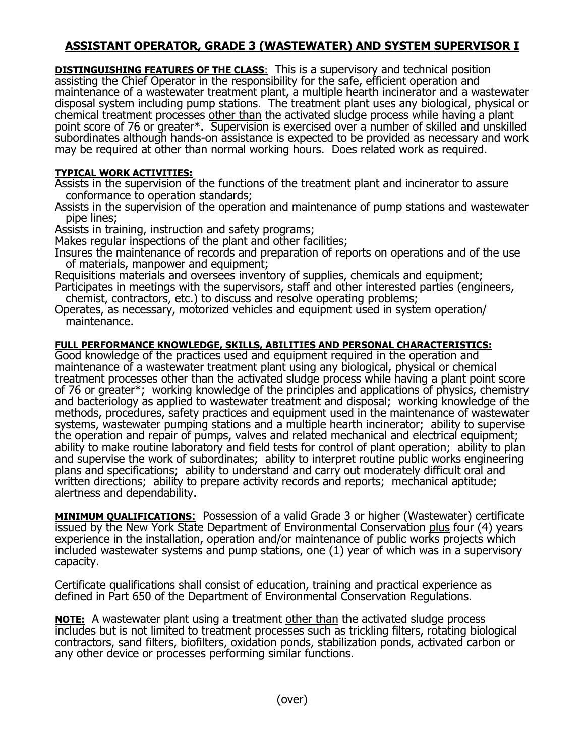## **ASSISTANT OPERATOR, GRADE 3 (WASTEWATER) AND SYSTEM SUPERVISOR I**

**DISTINGUISHING FEATURES OF THE CLASS**: This is a supervisory and technical position assisting the Chief Operator in the responsibility for the safe, efficient operation and maintenance of a wastewater treatment plant, a multiple hearth incinerator and a wastewater disposal system including pump stations. The treatment plant uses any biological, physical or chemical treatment processes other than the activated sludge process while having a plant point score of 76 or greater\*. Supervision is exercised over a number of skilled and unskilled subordinates although hands-on assistance is expected to be provided as necessary and work may be required at other than normal working hours. Does related work as required.

## **TYPICAL WORK ACTIVITIES:**

Assists in the supervision of the functions of the treatment plant and incinerator to assure conformance to operation standards;

Assists in the supervision of the operation and maintenance of pump stations and wastewater pipe lines;

Assists in training, instruction and safety programs;

Makes regular inspections of the plant and other facilities;

Insures the maintenance of records and preparation of reports on operations and of the use of materials, manpower and equipment;

Requisitions materials and oversees inventory of supplies, chemicals and equipment; Participates in meetings with the supervisors, staff and other interested parties (engineers,

chemist, contractors, etc.) to discuss and resolve operating problems;

Operates, as necessary, motorized vehicles and equipment used in system operation/ maintenance.

## **FULL PERFORMANCE KNOWLEDGE, SKILLS, ABILITIES AND PERSONAL CHARACTERISTICS:**

Good knowledge of the practices used and equipment required in the operation and maintenance of a wastewater treatment plant using any biological, physical or chemical treatment processes other than the activated sludge process while having a plant point score of 76 or greater\*; working knowledge of the principles and applications of physics, chemistry and bacteriology as applied to wastewater treatment and disposal; working knowledge of the methods, procedures, safety practices and equipment used in the maintenance of wastewater systems, wastewater pumping stations and a multiple hearth incinerator; ability to supervise the operation and repair of pumps, valves and related mechanical and electrical equipment; ability to make routine laboratory and field tests for control of plant operation; ability to plan and supervise the work of subordinates; ability to interpret routine public works engineering plans and specifications; ability to understand and carry out moderately difficult oral and written directions; ability to prepare activity records and reports; mechanical aptitude; alertness and dependability.

**MINIMUM QUALIFICATIONS**: Possession of a valid Grade 3 or higher (Wastewater) certificate issued by the New York State Department of Environmental Conservation plus four (4) years experience in the installation, operation and/or maintenance of public works projects which included wastewater systems and pump stations, one (1) year of which was in a supervisory capacity.

Certificate qualifications shall consist of education, training and practical experience as defined in Part 650 of the Department of Environmental Conservation Regulations.

**NOTE:** A wastewater plant using a treatment other than the activated sludge process includes but is not limited to treatment processes such as trickling filters, rotating biological contractors, sand filters, biofilters, oxidation ponds, stabilization ponds, activated carbon or any other device or processes performing similar functions.